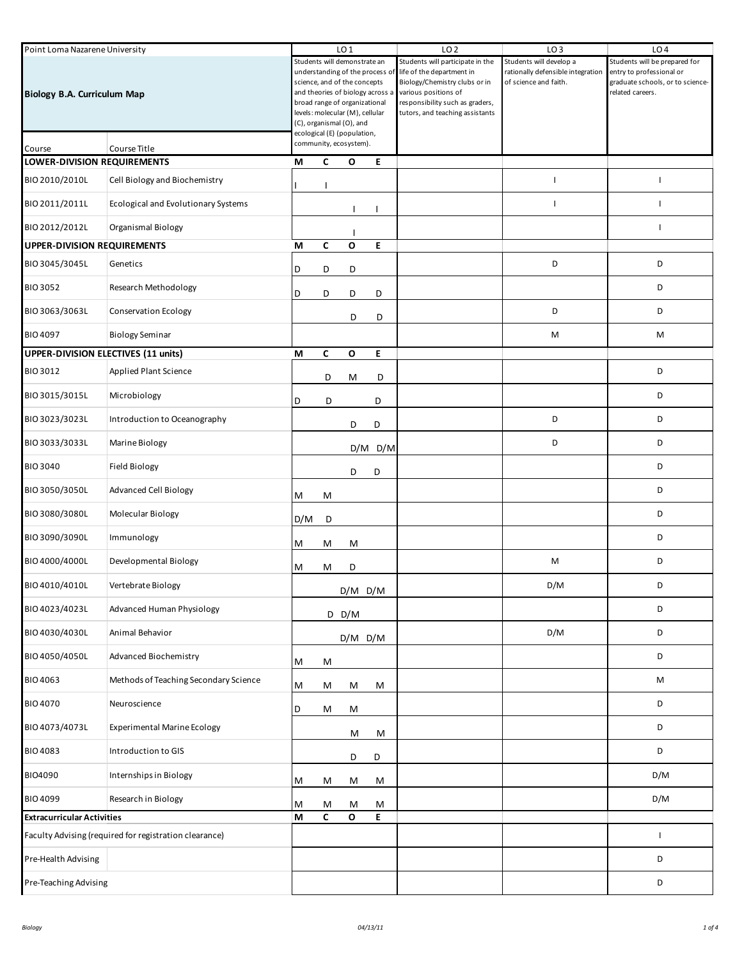| Point Loma Nazarene University                         |                                       |     | LO <sub>1</sub>                                                                                                                                                                                                                                                    |              |             | LO <sub>2</sub>                                                                                                                                                                              | LO <sub>3</sub>                                                                       | LO <sub>4</sub>                                                                                                   |
|--------------------------------------------------------|---------------------------------------|-----|--------------------------------------------------------------------------------------------------------------------------------------------------------------------------------------------------------------------------------------------------------------------|--------------|-------------|----------------------------------------------------------------------------------------------------------------------------------------------------------------------------------------------|---------------------------------------------------------------------------------------|-------------------------------------------------------------------------------------------------------------------|
| <b>Biology B.A. Curriculum Map</b>                     |                                       |     | Students will demonstrate an<br>understanding of the process of<br>science, and of the concepts<br>and theories of biology across a<br>broad range of organizational<br>levels: molecular (M), cellular<br>(C), organismal (O), and<br>ecological (E) (population, |              |             | Students will participate in the<br>life of the department in<br>Biology/Chemistry clubs or in<br>various positions of<br>responsibility such as graders,<br>tutors, and teaching assistants | Students will develop a<br>rationally defensible integration<br>of science and faith. | Students will be prepared for<br>entry to professional or<br>graduate schools, or to science-<br>related careers. |
| Course                                                 | Course Title                          |     | community, ecosystem).                                                                                                                                                                                                                                             |              |             |                                                                                                                                                                                              |                                                                                       |                                                                                                                   |
| <b>LOWER-DIVISION REQUIREMENTS</b>                     |                                       | М   | C                                                                                                                                                                                                                                                                  | O            | E           |                                                                                                                                                                                              |                                                                                       |                                                                                                                   |
| BIO 2010/2010L                                         | Cell Biology and Biochemistry         |     |                                                                                                                                                                                                                                                                    |              |             |                                                                                                                                                                                              | п                                                                                     | H                                                                                                                 |
| BIO 2011/2011L                                         | Ecological and Evolutionary Systems   |     |                                                                                                                                                                                                                                                                    |              |             |                                                                                                                                                                                              | $\mathbf{I}$                                                                          | T                                                                                                                 |
| BIO 2012/2012L                                         | Organismal Biology                    |     |                                                                                                                                                                                                                                                                    |              |             |                                                                                                                                                                                              |                                                                                       | T                                                                                                                 |
| <b>UPPER-DIVISION REQUIREMENTS</b>                     |                                       | М   | C                                                                                                                                                                                                                                                                  | O            | E           |                                                                                                                                                                                              |                                                                                       |                                                                                                                   |
| BIO 3045/3045L                                         | Genetics                              | D   | D                                                                                                                                                                                                                                                                  | D            |             |                                                                                                                                                                                              | D                                                                                     | D                                                                                                                 |
| <b>BIO 3052</b>                                        | <b>Research Methodology</b>           | D   | D                                                                                                                                                                                                                                                                  | D            | D           |                                                                                                                                                                                              |                                                                                       | D                                                                                                                 |
| BIO 3063/3063L                                         | <b>Conservation Ecology</b>           |     |                                                                                                                                                                                                                                                                    | D            | D           |                                                                                                                                                                                              | D                                                                                     | D                                                                                                                 |
| BIO 4097                                               | <b>Biology Seminar</b>                |     |                                                                                                                                                                                                                                                                    |              |             |                                                                                                                                                                                              | M                                                                                     | М                                                                                                                 |
| UPPER-DIVISION ELECTIVES (11 units)                    |                                       | M   | C                                                                                                                                                                                                                                                                  | $\mathbf{o}$ | E.          |                                                                                                                                                                                              |                                                                                       |                                                                                                                   |
| <b>BIO 3012</b>                                        | <b>Applied Plant Science</b>          |     | D                                                                                                                                                                                                                                                                  | М            | D           |                                                                                                                                                                                              |                                                                                       | D                                                                                                                 |
| BIO 3015/3015L                                         | Microbiology                          | D   | D                                                                                                                                                                                                                                                                  |              | D           |                                                                                                                                                                                              |                                                                                       | D                                                                                                                 |
| BIO 3023/3023L                                         | Introduction to Oceanography          |     |                                                                                                                                                                                                                                                                    | D            | D           |                                                                                                                                                                                              | D                                                                                     | D                                                                                                                 |
| BIO 3033/3033L                                         | Marine Biology                        |     |                                                                                                                                                                                                                                                                    |              | $D/M$ $D/M$ |                                                                                                                                                                                              | D                                                                                     | D                                                                                                                 |
| <b>BIO 3040</b>                                        | <b>Field Biology</b>                  |     |                                                                                                                                                                                                                                                                    | D            | D           |                                                                                                                                                                                              |                                                                                       | D                                                                                                                 |
| BIO 3050/3050L                                         | <b>Advanced Cell Biology</b>          | Μ   | м                                                                                                                                                                                                                                                                  |              |             |                                                                                                                                                                                              |                                                                                       | D                                                                                                                 |
| BIO 3080/3080L                                         | Molecular Biology                     | D/M | D                                                                                                                                                                                                                                                                  |              |             |                                                                                                                                                                                              |                                                                                       | D                                                                                                                 |
| BIO 3090/3090L                                         | Immunology                            | M   | M                                                                                                                                                                                                                                                                  | M            |             |                                                                                                                                                                                              |                                                                                       | D                                                                                                                 |
| BIO 4000/4000L                                         | Developmental Biology                 | м   | М                                                                                                                                                                                                                                                                  | D            |             |                                                                                                                                                                                              | M                                                                                     | D                                                                                                                 |
| BIO 4010/4010L                                         | Vertebrate Biology                    |     |                                                                                                                                                                                                                                                                    | $D/M$ $D/M$  |             |                                                                                                                                                                                              | D/M                                                                                   | D                                                                                                                 |
| BIO 4023/4023L                                         | Advanced Human Physiology             |     |                                                                                                                                                                                                                                                                    | $D$ D/M      |             |                                                                                                                                                                                              |                                                                                       | D                                                                                                                 |
| BIO 4030/4030L                                         | Animal Behavior                       |     |                                                                                                                                                                                                                                                                    | $D/M$ $D/M$  |             |                                                                                                                                                                                              | D/M                                                                                   | D                                                                                                                 |
| BIO 4050/4050L                                         | <b>Advanced Biochemistry</b>          | M   | M                                                                                                                                                                                                                                                                  |              |             |                                                                                                                                                                                              |                                                                                       | D                                                                                                                 |
| <b>BIO 4063</b>                                        | Methods of Teaching Secondary Science | M   | м                                                                                                                                                                                                                                                                  | M            | М           |                                                                                                                                                                                              |                                                                                       | М                                                                                                                 |
| <b>BIO 4070</b>                                        | Neuroscience                          | D   | M                                                                                                                                                                                                                                                                  | M            |             |                                                                                                                                                                                              |                                                                                       | D                                                                                                                 |
| BIO 4073/4073L                                         | <b>Experimental Marine Ecology</b>    |     |                                                                                                                                                                                                                                                                    | M            | M           |                                                                                                                                                                                              |                                                                                       | D                                                                                                                 |
| <b>BIO 4083</b>                                        | Introduction to GIS                   |     |                                                                                                                                                                                                                                                                    | D            | D           |                                                                                                                                                                                              |                                                                                       | D                                                                                                                 |
| BIO4090                                                | Internships in Biology                | M   | M                                                                                                                                                                                                                                                                  | M            | М           |                                                                                                                                                                                              |                                                                                       | D/M                                                                                                               |
| <b>BIO 4099</b>                                        | Research in Biology                   | Μ   | м                                                                                                                                                                                                                                                                  | M            | м           |                                                                                                                                                                                              |                                                                                       | D/M                                                                                                               |
| <b>Extracurricular Activities</b>                      |                                       | М   | C                                                                                                                                                                                                                                                                  | $\mathbf{o}$ | E           |                                                                                                                                                                                              |                                                                                       |                                                                                                                   |
| Faculty Advising (required for registration clearance) |                                       |     |                                                                                                                                                                                                                                                                    |              |             |                                                                                                                                                                                              |                                                                                       | $\mathsf{L}$                                                                                                      |
| Pre-Health Advising                                    |                                       |     |                                                                                                                                                                                                                                                                    |              |             |                                                                                                                                                                                              |                                                                                       | D                                                                                                                 |
| Pre-Teaching Advising                                  |                                       |     |                                                                                                                                                                                                                                                                    |              |             |                                                                                                                                                                                              |                                                                                       | D                                                                                                                 |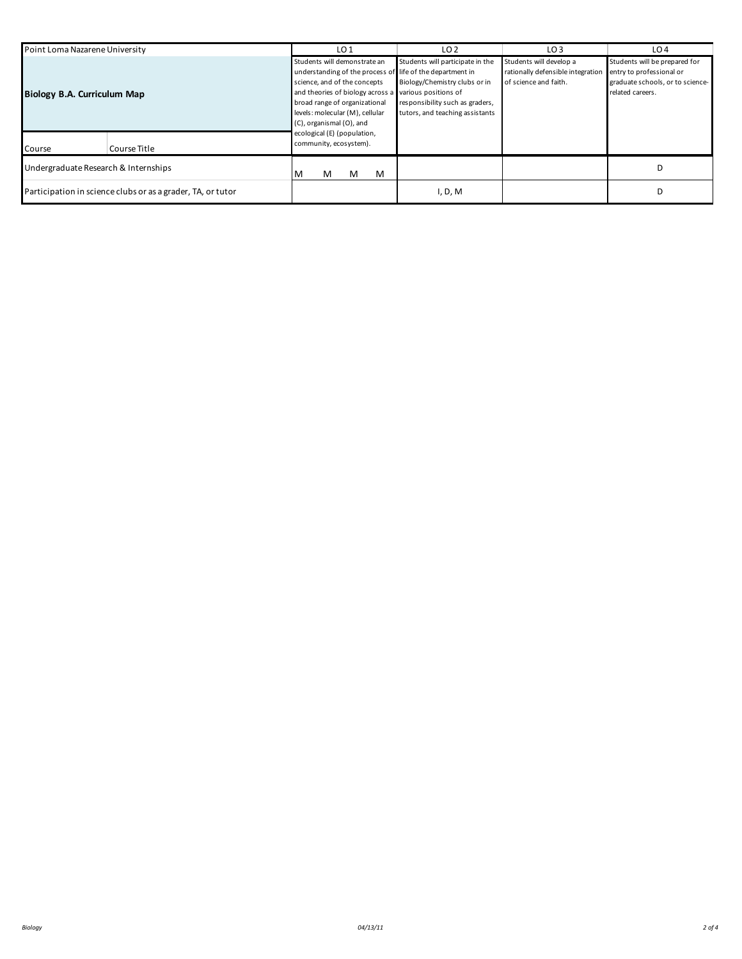| Point Loma Nazarene University                              |              | LO <sub>1</sub>                                                                                                                                                                                                                                                                                                   | LO <sub>2</sub>                                                                                                                         | LO <sub>3</sub>                                                                       | LO <sub>4</sub>                                                                                                   |
|-------------------------------------------------------------|--------------|-------------------------------------------------------------------------------------------------------------------------------------------------------------------------------------------------------------------------------------------------------------------------------------------------------------------|-----------------------------------------------------------------------------------------------------------------------------------------|---------------------------------------------------------------------------------------|-------------------------------------------------------------------------------------------------------------------|
| Biology B.A. Curriculum Map                                 |              | Students will demonstrate an<br>understanding of the process of life of the department in<br>science, and of the concepts<br>and theories of biology across a various positions of<br>broad range of organizational<br>levels: molecular (M), cellular<br>(C), organismal (O), and<br>ecological (E) (population, | Students will participate in the<br>Biology/Chemistry clubs or in<br>responsibility such as graders,<br>tutors, and teaching assistants | Students will develop a<br>rationally defensible integration<br>of science and faith. | Students will be prepared for<br>entry to professional or<br>graduate schools, or to science-<br>related careers. |
| Course                                                      | Course Title | community, ecosystem).                                                                                                                                                                                                                                                                                            |                                                                                                                                         |                                                                                       |                                                                                                                   |
| Undergraduate Research & Internships                        |              | M<br>M<br>м<br>M                                                                                                                                                                                                                                                                                                  |                                                                                                                                         |                                                                                       |                                                                                                                   |
| Participation in science clubs or as a grader, TA, or tutor |              |                                                                                                                                                                                                                                                                                                                   | I, D, M                                                                                                                                 |                                                                                       |                                                                                                                   |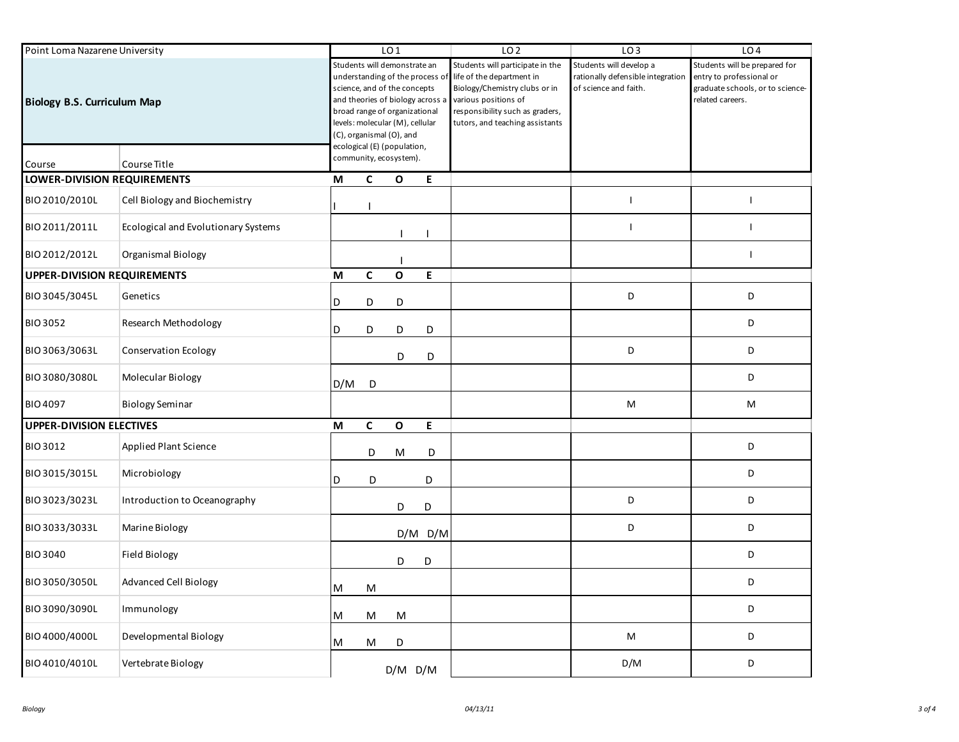| Point Loma Nazarene University     |                                     |     | LO <sub>1</sub>                                                                                                                                                                                                                                                   |              |             | LO <sub>2</sub>                                                                                                                                                                              | LO <sub>3</sub>                                                                       | LO <sub>4</sub>                                                                                                   |
|------------------------------------|-------------------------------------|-----|-------------------------------------------------------------------------------------------------------------------------------------------------------------------------------------------------------------------------------------------------------------------|--------------|-------------|----------------------------------------------------------------------------------------------------------------------------------------------------------------------------------------------|---------------------------------------------------------------------------------------|-------------------------------------------------------------------------------------------------------------------|
| <b>Biology B.S. Curriculum Map</b> |                                     |     | Students will demonstrate an<br>understanding of the process o<br>science, and of the concepts<br>and theories of biology across a<br>broad range of organizational<br>levels: molecular (M), cellular<br>(C), organismal (O), and<br>ecological (E) (population, |              |             | Students will participate in the<br>life of the department in<br>Biology/Chemistry clubs or in<br>various positions of<br>responsibility such as graders,<br>tutors, and teaching assistants | Students will develop a<br>rationally defensible integration<br>of science and faith. | Students will be prepared for<br>entry to professional or<br>graduate schools, or to science-<br>related careers. |
| Course                             | Course Title                        |     | community, ecosystem).                                                                                                                                                                                                                                            |              |             |                                                                                                                                                                                              |                                                                                       |                                                                                                                   |
| <b>LOWER-DIVISION REQUIREMENTS</b> |                                     | М   | C                                                                                                                                                                                                                                                                 | O            | E           |                                                                                                                                                                                              |                                                                                       |                                                                                                                   |
| BIO 2010/2010L                     | Cell Biology and Biochemistry       |     |                                                                                                                                                                                                                                                                   |              |             |                                                                                                                                                                                              | <sup>1</sup>                                                                          | $\mathbf{I}$                                                                                                      |
| BIO 2011/2011L                     | Ecological and Evolutionary Systems |     |                                                                                                                                                                                                                                                                   |              |             |                                                                                                                                                                                              | $\overline{\phantom{a}}$                                                              | $\mathbf{I}$                                                                                                      |
| BIO 2012/2012L                     | Organismal Biology                  |     |                                                                                                                                                                                                                                                                   |              |             |                                                                                                                                                                                              |                                                                                       | $\mathbf{I}$                                                                                                      |
| <b>UPPER-DIVISION REQUIREMENTS</b> |                                     | M   | $\mathsf{C}$                                                                                                                                                                                                                                                      | $\mathbf{o}$ | E           |                                                                                                                                                                                              |                                                                                       |                                                                                                                   |
| BIO 3045/3045L                     | Genetics                            | D   | D                                                                                                                                                                                                                                                                 | D            |             |                                                                                                                                                                                              | D                                                                                     | D                                                                                                                 |
| <b>BIO 3052</b>                    | Research Methodology                | D   | D                                                                                                                                                                                                                                                                 | D            | D           |                                                                                                                                                                                              |                                                                                       | D                                                                                                                 |
| BIO 3063/3063L                     | <b>Conservation Ecology</b>         |     |                                                                                                                                                                                                                                                                   | D            | D           |                                                                                                                                                                                              | D                                                                                     | D                                                                                                                 |
| BIO 3080/3080L                     | Molecular Biology                   | D/M | D                                                                                                                                                                                                                                                                 |              |             |                                                                                                                                                                                              |                                                                                       | D                                                                                                                 |
| <b>BIO 4097</b>                    | <b>Biology Seminar</b>              |     |                                                                                                                                                                                                                                                                   |              |             |                                                                                                                                                                                              | M                                                                                     | M                                                                                                                 |
| <b>UPPER-DIVISION ELECTIVES</b>    |                                     | M   | $\mathsf{C}$                                                                                                                                                                                                                                                      | $\mathbf o$  | Е           |                                                                                                                                                                                              |                                                                                       |                                                                                                                   |
| <b>BIO 3012</b>                    | <b>Applied Plant Science</b>        |     | D                                                                                                                                                                                                                                                                 | M            | D           |                                                                                                                                                                                              |                                                                                       | D                                                                                                                 |
| BIO 3015/3015L                     | Microbiology                        | D   | D                                                                                                                                                                                                                                                                 |              | D           |                                                                                                                                                                                              |                                                                                       | D                                                                                                                 |
| BIO 3023/3023L                     | Introduction to Oceanography        |     |                                                                                                                                                                                                                                                                   | D            | D           |                                                                                                                                                                                              | D                                                                                     | D                                                                                                                 |
| BIO 3033/3033L                     | Marine Biology                      |     |                                                                                                                                                                                                                                                                   |              | $D/M$ $D/M$ |                                                                                                                                                                                              | D                                                                                     | D                                                                                                                 |
| <b>BIO 3040</b>                    | Field Biology                       |     |                                                                                                                                                                                                                                                                   | D            | D           |                                                                                                                                                                                              |                                                                                       | D                                                                                                                 |
| BIO 3050/3050L                     | <b>Advanced Cell Biology</b>        | M   | M                                                                                                                                                                                                                                                                 |              |             |                                                                                                                                                                                              |                                                                                       | D                                                                                                                 |
| BIO 3090/3090L                     | Immunology                          | M   | M                                                                                                                                                                                                                                                                 | M            |             |                                                                                                                                                                                              |                                                                                       | D                                                                                                                 |
| BIO 4000/4000L                     | Developmental Biology               | M   | М                                                                                                                                                                                                                                                                 | D            |             |                                                                                                                                                                                              | M                                                                                     | D                                                                                                                 |
| BIO 4010/4010L                     | Vertebrate Biology                  |     |                                                                                                                                                                                                                                                                   | $D/M$ $D/M$  |             |                                                                                                                                                                                              | D/M                                                                                   | D                                                                                                                 |